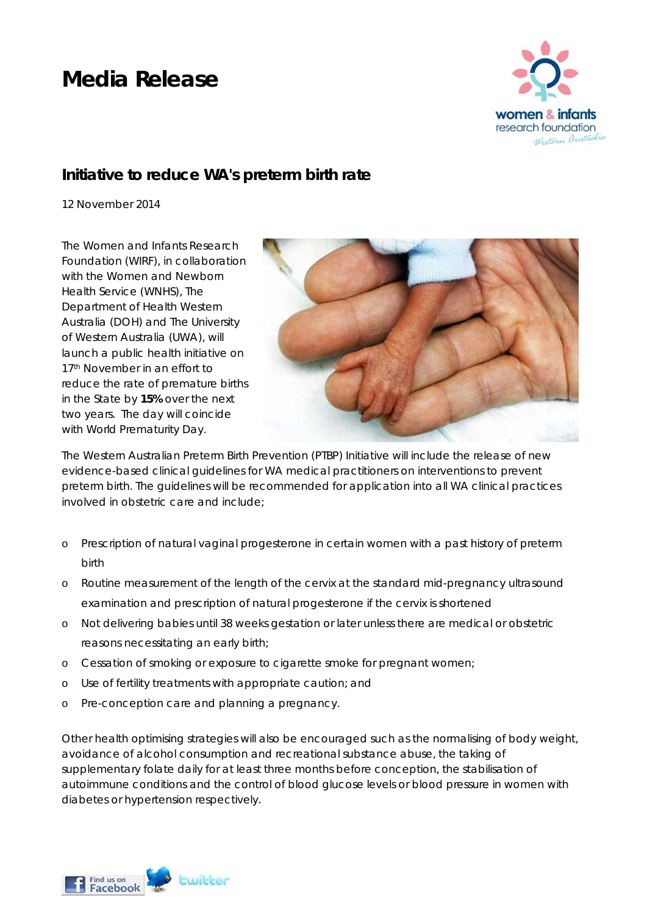## **Media Release**



## **Initiative to reduce WA's preterm birth rate**

*12 November 2014* 

The Women and Infants Research Foundation (WIRF), in collaboration with the Women and Newborn Health Service (WNHS), The Department of Health Western Australia (DOH) and The University of Western Australia (UWA), will launch a public health initiative on 17<sup>th</sup> November in an effort to reduce the rate of premature births in the State by **15%** over the next two years. The day will coincide with World Prematurity Day.



The *Western Australian Preterm Birth Prevention (PTBP) Initiative* will include the release of new evidence-based clinical guidelines for WA medical practitioners on interventions to prevent preterm birth. The guidelines will be recommended for application into all WA clinical practices involved in obstetric care and include;

- o Prescription of natural vaginal progesterone in certain women with a past history of preterm birth
- o Routine measurement of the length of the cervix at the standard mid-pregnancy ultrasound examination and prescription of natural progesterone if the cervix is shortened
- o Not delivering babies until 38 weeks gestation or later unless there are medical or obstetric reasons necessitating an early birth;
- o Cessation of smoking or exposure to cigarette smoke for pregnant women;
- o Use of fertility treatments with appropriate caution; and
- o Pre-conception care and planning a pregnancy.

Other health optimising strategies will also be encouraged such as the normalising of body weight, avoidance of alcohol consumption and recreational substance abuse, the taking of supplementary folate daily for at least three months before conception, the stabilisation of autoimmune conditions and the control of blood glucose levels or blood pressure in women with diabetes or hypertension respectively.